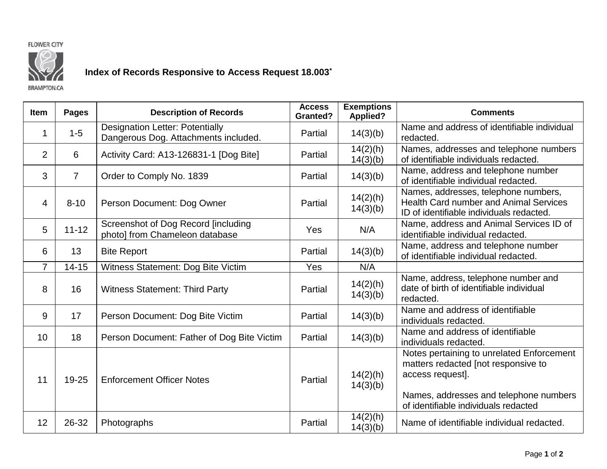



## **Index of Records Responsive to Access Request 18.003\***

**BRAMPTON CA** 

## **Item Pages Description of Records Access Granted? Exemptions Applied? Comments**  $1 \mid 1-5$ Designation Letter: Potentially Designation Letter: Potentially  $\begin{array}{|c|c|c|c|c|}\n\hline\n\end{array}$  Partial  $\begin{array}{|c|c|c|c|c|}\n\end{array}$  14(3)(b) Name and address of identifiable individual natural Dangerous Dog. Attachments included. redacted. 2 6 Activity Card: A13-126831-1 [Dog Bite] Partial 14(2)(h)  $14(3)(b)$ Names, addresses and telephone numbers of identifiable individuals redacted.  $\begin{array}{c|c|c|c|c|c|c|c|c} \hline \end{array}$  7  $\begin{array}{c|c|c|c} \hline \end{array}$  Order to Comply No. 1839 **Partial Partial 14(3)(b)** Name, address and telephone number of identifiable individual redacted. 4 8-10 Person Document: Dog Owner Partial 14(2)(h) 14(3)(b) Names, addresses, telephone numbers, Health Card number and Animal Services ID of identifiable individuals redacted. 5 11-12 Screenshot of Dog Record [including<br>photo] from Chameleon database photo] from Chameleon database Yes N/A Name, address and Animal Services ID of identifiable individual redacted. 6 13 Bite Report Partial 14(3)(b) Name, address and telephone number of identifiable individual redacted. 7 | 14-15 | Witness Statement: Dog Bite Victim | Yes | N/A  $8$  16 Witness Statement: Third Party Partial 14(2)(h) 14(3)(b) Name, address, telephone number and date of birth of identifiable individual redacted. <sup>9</sup> <sup>17</sup> Person Document: Dog Bite Victim Partial 14(3)(b) Name and address of identifiable individuals redacted.<br>Name and address of identifiable 10 18 Person Document: Father of Dog Bite Victim | Partial | 14(3)(b) individuals redacted. 11 19-25 Enforcement Officer Notes Partial 14(2)(h) 14(3)(b) Notes pertaining to unrelated Enforcement matters redacted [not responsive to access request]. Names, addresses and telephone numbers of identifiable individuals redacted 12 26-32 Photographs Partial  $\begin{array}{|c|c|c|c|c|c|}\n\hline\n12 & 26-32 & \text{Photographs}\n\hline\n\end{array}$  $\left\{\n \begin{array}{c}\n 14(2)(h) \\
14(3)(b)\n \end{array}\n\right\}$  Name of identifiable individual redacted.